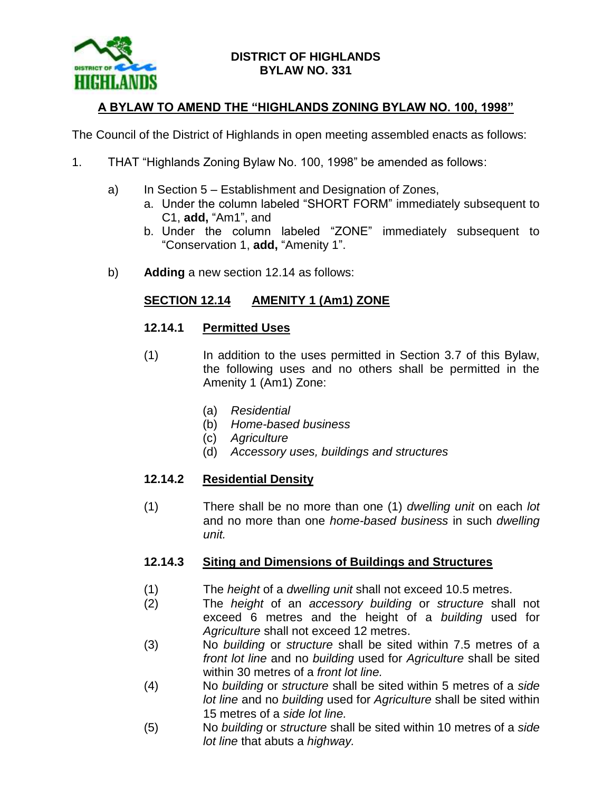

## **DISTRICT OF HIGHLANDS BYLAW NO. 331**

# **A BYLAW TO AMEND THE "HIGHLANDS ZONING BYLAW NO. 100, 1998"**

The Council of the District of Highlands in open meeting assembled enacts as follows:

- 1. THAT "Highlands Zoning Bylaw No. 100, 1998" be amended as follows:
	- a) In Section 5 Establishment and Designation of Zones,
		- a. Under the column labeled "SHORT FORM" immediately subsequent to C1, **add,** "Am1", and
		- b. Under the column labeled "ZONE" immediately subsequent to "Conservation 1, **add,** "Amenity 1".
	- b) **Adding** a new section 12.14 as follows:

## **SECTION 12.14 AMENITY 1 (Am1) ZONE**

#### **12.14.1 Permitted Uses**

- (1) In addition to the uses permitted in Section 3.7 of this Bylaw, the following uses and no others shall be permitted in the Amenity 1 (Am1) Zone:
	- (a) *Residential*
	- (b) *Home-based business*
	- (c) *Agriculture*
	- (d) *Accessory uses, buildings and structures*

### **12.14.2 Residential Density**

(1) There shall be no more than one (1) *dwelling unit* on each *lot* and no more than one *home-based business* in such *dwelling unit.*

### **12.14.3 Siting and Dimensions of Buildings and Structures**

- (1) The *height* of a *dwelling unit* shall not exceed 10.5 metres.
- (2) The *height* of an *accessory building* or *structure* shall not exceed 6 metres and the height of a *building* used for *Agriculture* shall not exceed 12 metres.
- (3) No *building* or *structure* shall be sited within 7.5 metres of a *front lot line* and no *building* used for *Agriculture* shall be sited within 30 metres of a *front lot line.*
- (4) No *building* or *structure* shall be sited within 5 metres of a *side lot line* and no *building* used for *Agriculture* shall be sited within 15 metres of a *side lot line.*
- (5) No *building* or *structure* shall be sited within 10 metres of a *side lot line* that abuts a *highway.*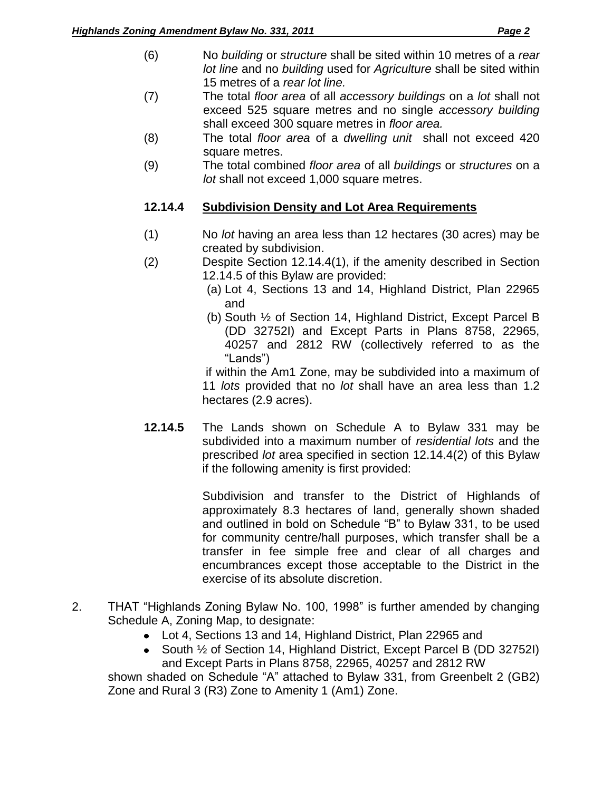- (6) No *building* or *structure* shall be sited within 10 metres of a *rear lot line* and no *building* used for *Agriculture* shall be sited within 15 metres of a *rear lot line.*
- (7) The total *floor area* of all *accessory buildings* on a *lot* shall not exceed 525 square metres and no single *accessory building* shall exceed 300 square metres in *floor area.*
- (8) The total *floor area* of a *dwelling unit* shall not exceed 420 square metres.
- (9) The total combined *floor area* of all *buildings* or *structures* on a *lot* shall not exceed 1,000 square metres.

# **12.14.4 Subdivision Density and Lot Area Requirements**

- (1) No *lot* having an area less than 12 hectares (30 acres) may be created by subdivision.
- (2) Despite Section 12.14.4(1), if the amenity described in Section 12.14.5 of this Bylaw are provided:
	- (a) Lot 4, Sections 13 and 14, Highland District, Plan 22965 and
	- (b) South ½ of Section 14, Highland District, Except Parcel B (DD 32752I) and Except Parts in Plans 8758, 22965, 40257 and 2812 RW (collectively referred to as the "Lands")

if within the Am1 Zone, may be subdivided into a maximum of 11 *lots* provided that no *lot* shall have an area less than 1.2 hectares (2.9 acres).

**12.14.5** The Lands shown on Schedule A to Bylaw 331 may be subdivided into a maximum number of *residential lots* and the prescribed *lot* area specified in section 12.14.4(2) of this Bylaw if the following amenity is first provided:

> Subdivision and transfer to the District of Highlands of approximately 8.3 hectares of land, generally shown shaded and outlined in bold on Schedule "B" to Bylaw 331, to be used for community centre/hall purposes, which transfer shall be a transfer in fee simple free and clear of all charges and encumbrances except those acceptable to the District in the exercise of its absolute discretion.

- 2. THAT "Highlands Zoning Bylaw No. 100, 1998" is further amended by changing Schedule A, Zoning Map, to designate:
	- Lot 4, Sections 13 and 14, Highland District, Plan 22965 and
	- South ½ of Section 14, Highland District, Except Parcel B (DD 32752I)  $\bullet$ and Except Parts in Plans 8758, 22965, 40257 and 2812 RW

shown shaded on Schedule "A" attached to Bylaw 331, from Greenbelt 2 (GB2) Zone and Rural 3 (R3) Zone to Amenity 1 (Am1) Zone.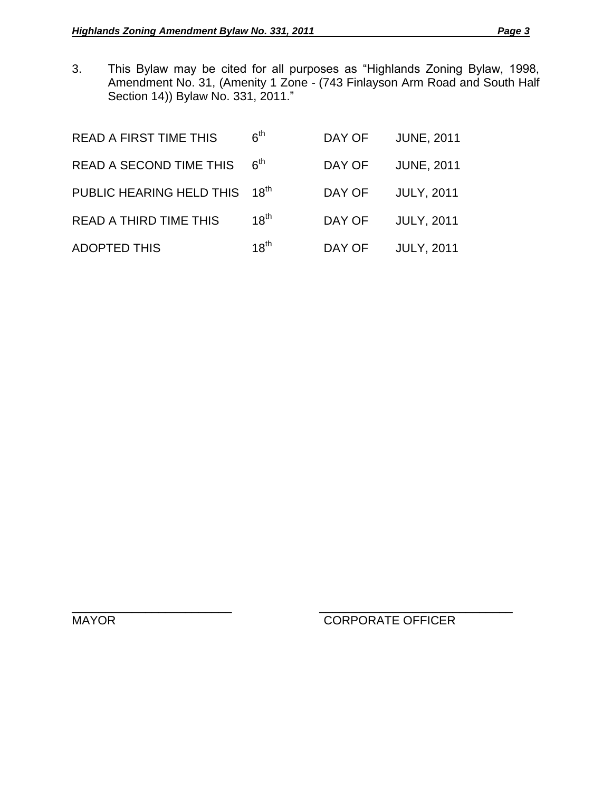3. This Bylaw may be cited for all purposes as "Highlands Zoning Bylaw, 1998, Amendment No. 31, (Amenity 1 Zone - (743 Finlayson Arm Road and South Half Section 14)) Bylaw No. 331, 2011."

| <b>READ A FIRST TIME THIS</b>  | 6 <sup>th</sup> | DAY OF | <b>JUNE, 2011</b> |
|--------------------------------|-----------------|--------|-------------------|
| <b>READ A SECOND TIME THIS</b> | 6 <sup>th</sup> | DAY OF | <b>JUNE, 2011</b> |
| PUBLIC HEARING HELD THIS       | $18^{th}$       | DAY OF | <b>JULY, 2011</b> |
| <b>READ A THIRD TIME THIS</b>  | $18^{th}$       | DAY OF | <b>JULY, 2011</b> |
| <b>ADOPTED THIS</b>            | $18^{th}$       | DAY OF | <b>JULY, 2011</b> |

\_\_\_\_\_\_\_\_\_\_\_\_\_\_\_\_\_\_\_\_\_\_\_\_ \_\_\_\_\_\_\_\_\_\_\_\_\_\_\_\_\_\_\_\_\_\_\_\_\_\_\_\_\_ MAYOR CORPORATE OFFICER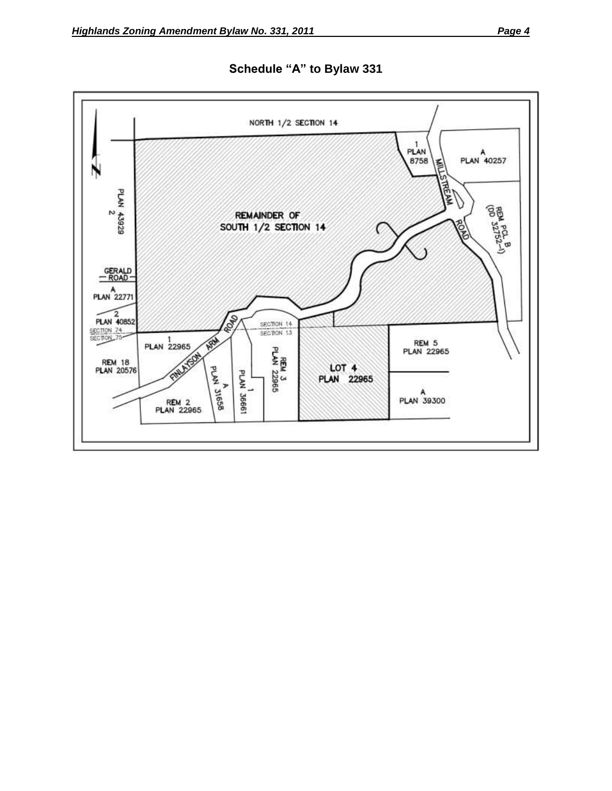

**Schedule "A" to Bylaw 331**